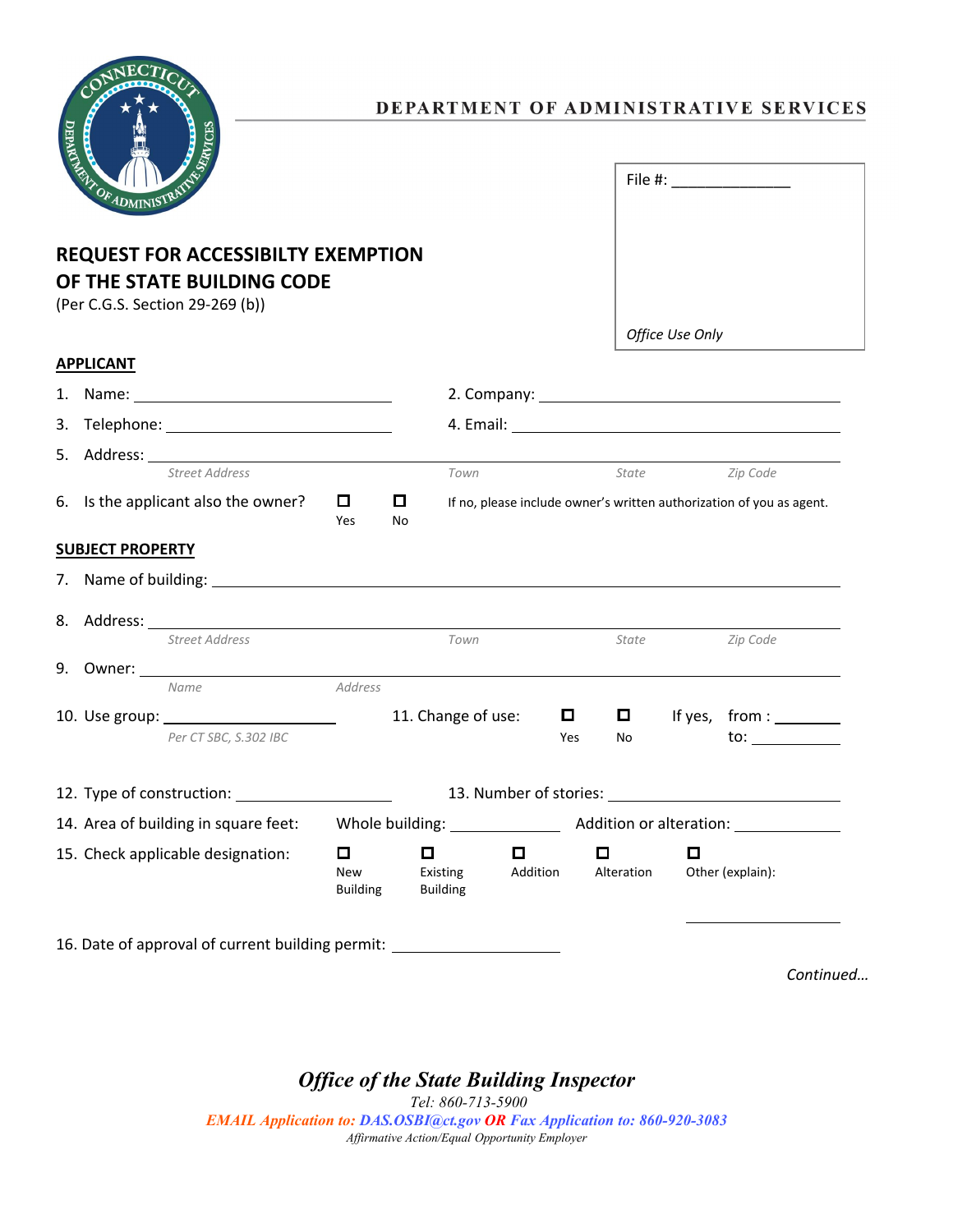

### DEPARTMENT OF ADMINISTRATIVE SERVICES

| File #: $\_\_$  |
|-----------------|
|                 |
| Office Use Only |

## **REQUEST FOR ACCESSIBILTY EXEMPTION OF THE STATE BUILDING CODE**

(Per C.G.S. Section 29-269 (b))

**APPLICANT**

# 1. Name: 2. Company: 3. Telephone: 4. Email: 5. Address: *Street Address Town State Zip Code* 6. Is the applicant also the owner?  $\Box$   $\Box$  If no, please include owner's written authorization of you as agent. Yes No **SUBJECT PROPERTY** 7. Name of building: 8. Address: *Street Address Town State Zip Code* 9. Owner: *Name Address* 10. Use group:  $\sqrt{11}$ . Change of use:  $\sqrt{11}$  If yes, from :  $\sqrt{11}$ *Per CT SBC, S.302 IBC* Yes No to: 12. Type of construction: 13. Number of stories: 13. Number of stories: 14. Area of building in square feet: Whole building: \_\_\_\_\_\_\_\_\_\_\_\_\_\_\_\_\_\_\_\_\_\_\_\_\_\_\_ Addition or alteration: \_\_\_\_\_ 15. Check applicable designation:  $\Box$   $\Box$   $\Box$   $\Box$   $\Box$ New Existing Addition Alteration Other (explain): Building Building 16. Date of approval of current building permit:

*Continued…*

*Office of the State Building Inspector*

*Tel: 860-713-5900 EMAIL Application to: DAS.OSBI@ct.gov OR Fax Application to: 860-920-3083 Affirmative Action/Equal Opportunity Employer*